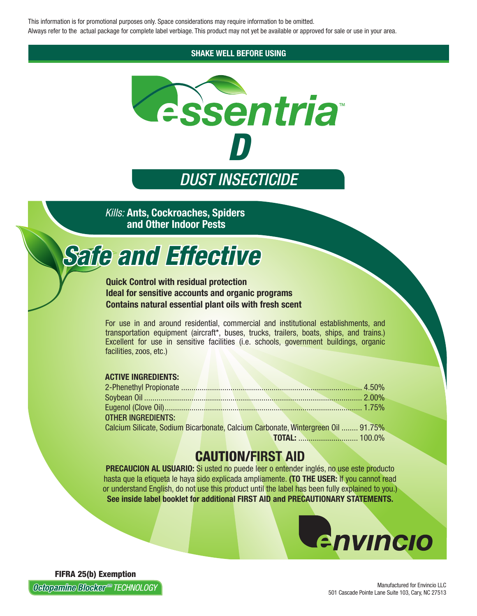This information is for promotional purposes only. Space considerations may require information to be omitted. Always refer to the actual package for complete label verbiage. This product may not yet be available or approved for sale or use in your area.

**SHAKE WELL BEFORE USING** 



**Kills: Ants, Cockroaches, Spiders** and Other Indoor Pests

# **Safe and Effective**

#### **Quick Control with residual protection Ideal for sensitive accounts and organic programs Contains natural essential plant oils with fresh scent**

For use in and around residential, commercial and institutional establishments, and transportation equipment (aircraft\*, buses, trucks, trailers, boats, ships, and trains.) Excellent for use in sensitive facilities (i.e. schools, government buildings, organic facilities, zoos, etc.)

#### **ACTIVE INGREDIENTS:**

| <b>OTHER INGREDIENTS:</b>                                                        |  |  |  |  |  |
|----------------------------------------------------------------------------------|--|--|--|--|--|
| Calcium Silicate, Sodium Bicarbonate, Calcium Carbonate, Wintergreen Oil  91.75% |  |  |  |  |  |
|                                                                                  |  |  |  |  |  |

# **CAUTION/FIRST AID**

**PRECAUCION AL USUARIO:** Si usted no puede leer o entender inglés, no use este producto hasta que la etiqueta le haya sido explicada ampliamente. (TO THE USER: If you cannot read or understand English, do not use this product until the label has been fully explained to you.) See inside label booklet for additional FIRST AID and PRECAUTIONARY STATEMENTS.



**FIFRA 25(b) Exemption Octopamine Blocker®® TECHNOLOGY**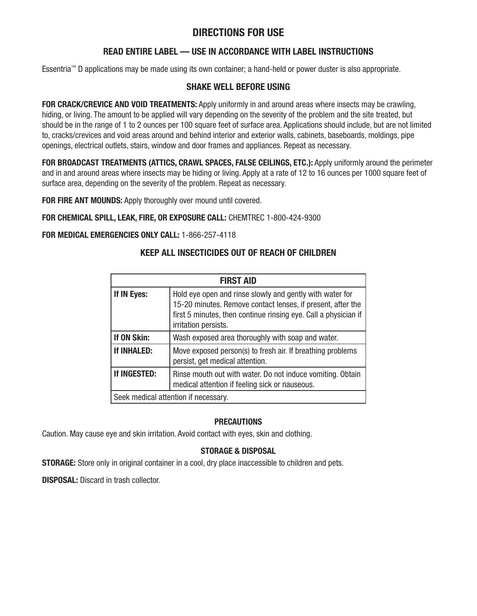## **DIRECTIONS FOR USE**

### **READ ENTIRE LABEL — USE IN ACCORDANCE WITH LABEL INSTRUCTIONS**

Essentria™ D applications may be made using its own container; a hand-held or power duster is also appropriate.

#### **SHAKE WELL BEFORE USING**

FOR CRACK/CREVICE AND VOID TREATMENTS: Apply uniformly in and around areas where insects may be crawling, hiding, or living. The amount to be applied will vary depending on the severity of the problem and the site treated, but should be in the range of 1 to 2 ounces per 100 square feet of surface area. Applications should include, but are not limited to, cracks/crevices and void areas around and behind interior and exterior walls, cabinets, baseboards, moldings, pipe openings, electrical outlets, stairs, window and door frames and appliances. Repeat as necessary.

**FOR BROADCAST TREATMENTS (ATTICS, CRAWL SPACES, FALSE CEILINGS, ETC.):** Apply uniformly around the perimeter and in and around areas where insects may be hiding or living. Apply at a rate of 12 to 16 ounces per 1000 square feet of surface area, depending on the severity of the problem. Repeat as necessary.

**FOR FIRE ANT MOUNDS:** Apply thoroughly over mound until covered.

#### **FOR CHEMICAL SPILL, LEAK, FIRE, OR EXPOSURE CALL:** CHEMTREC 1-800-424-9300

#### **FOR MEDICAL EMERGENCIES ONLY CALL:** 1-866-257-4118

#### **KEEP ALL INSECTICIDES OUT OF REACH OF CHILDREN**

| <b>FIRST AID</b>                     |                                                                                                                                                                                                                    |  |  |  |
|--------------------------------------|--------------------------------------------------------------------------------------------------------------------------------------------------------------------------------------------------------------------|--|--|--|
| If IN Eyes:                          | Hold eye open and rinse slowly and gently with water for<br>15-20 minutes. Remove contact lenses, if present, after the<br>first 5 minutes, then continue rinsing eye. Call a physician if<br>irritation persists. |  |  |  |
| If ON Skin:                          | Wash exposed area thoroughly with soap and water.                                                                                                                                                                  |  |  |  |
| If INHALED:                          | Move exposed person(s) to fresh air. If breathing problems<br>persist, get medical attention.                                                                                                                      |  |  |  |
| If INGESTED:                         | Rinse mouth out with water. Do not induce vomiting. Obtain<br>medical attention if feeling sick or nauseous.                                                                                                       |  |  |  |
| Seek medical attention if necessary. |                                                                                                                                                                                                                    |  |  |  |

#### **PRECAUTIONS**

Caution. May cause eye and skin irritation. Avoid contact with eyes, skin and clothing.

#### **STORAGE & DISPOSAL**

**STORAGE:** Store only in original container in a cool, dry place inaccessible to children and pets.

**DISPOSAL:** Discard in trash collector.